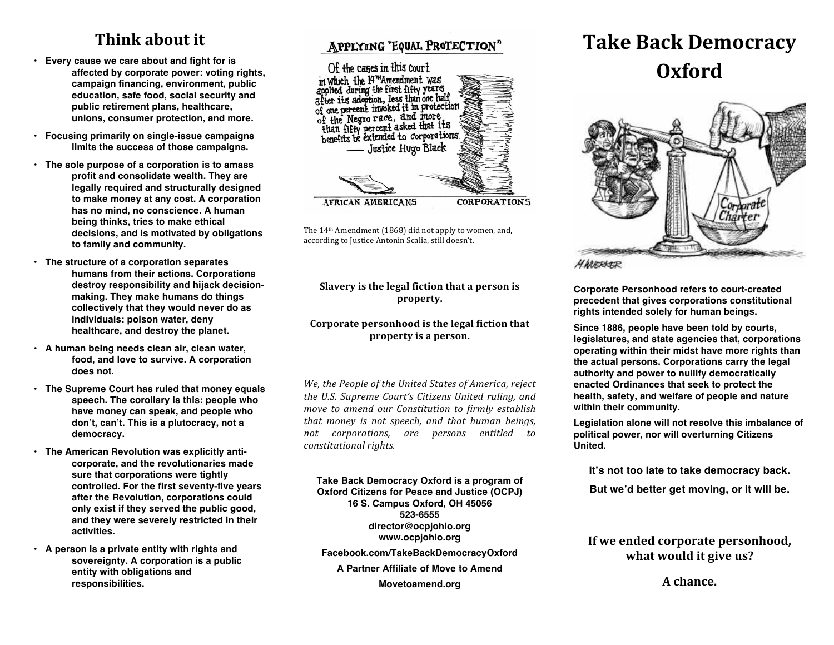# **Think about it**

- **Every cause we care about and fight for is affected by corporate power: voting rights, campaign financing, environment, public education, safe food, social security and public retirement plans, healthcare, unions, consumer protection, and more.**
- **Focusing primarily on single-issue campaigns limits the success of those campaigns.**
- **The sole purpose of a corporation is to amass profit and consolidate wealth. They are legally required and structurally designed to make money at any cost. A corporation has no mind, no conscience. A human being thinks, tries to make ethical decisions, and is motivated by obligations to family and community.**
- **The structure of a corporation separates humans from their actions. Corporations destroy responsibility and hijack decisionmaking. They make humans do things collectively that they would never do as individuals: poison water, deny healthcare, and destroy the planet.**
- **A human being needs clean air, clean water, food, and love to survive. A corporation does not.**
- **The Supreme Court has ruled that money equals speech. The corollary is this: people who have money can speak, and people who don't, can't. This is a plutocracy, not a democracy.**
- **The American Revolution was explicitly anticorporate, and the revolutionaries made sure that corporations were tightly controlled. For the first seventy-five years after the Revolution, corporations could only exist if they served the public good, and they were severely restricted in their activities.**
- **A person is a private entity with rights and sovereignty. A corporation is a public entity with obligations and responsibilities.**

### APPLYING "EQUAL PROTECTION"



The 14<sup>th</sup> Amendment (1868) did not apply to women, and, according to Justice Antonin Scalia, still doesn't.

### **Slavery is the legal fiction that a person is property.**

### Corporate personhood is the legal fiction that property is a person.

*We, the People of the United States of America, reject the U.S. Supreme Court's Citizens United ruling, and move to amend our Constitution to firmly establish that money is not speech, and that human beings, not corporations, are persons entitled to constitutional rights.*

**Take Back Democracy Oxford is a program of Oxford Citizens for Peace and Justice (OCPJ) 16 S. Campus Oxford, OH 45056 523-6555 director@ocpjohio.org www.ocpjohio.org Facebook.com/TakeBackDemocracyOxford A Partner Affiliate of Move to Amend Movetoamend.org**

# **Take Back Democracy Oxford**



**Corporate Personhood refers to court-created precedent that gives corporations constitutional rights intended solely for human beings.**

**Since 1886, people have been told by courts, legislatures, and state agencies that, corporations operating within their midst have more rights than the actual persons. Corporations carry the legal authority and power to nullify democratically enacted Ordinances that seek to protect the health, safety, and welfare of people and nature within their community.** 

**Legislation alone will not resolve this imbalance of political power, nor will overturning Citizens United.** 

**It's not too late to take democracy back.**

**But we'd better get moving, or it will be.**

### If we ended corporate personhood, what would it give us?

A chance.